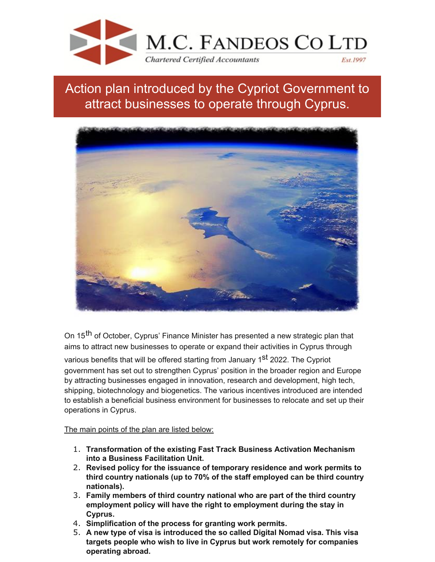

## Action plan introduced by the Cypriot Government to attract businesses to operate through Cyprus.



On 15<sup>th</sup> of October, Cyprus' Finance Minister has presented a new strategic plan that aims to attract new businesses to operate or expand their activities in Cyprus through various benefits that will be offered starting from January 1<sup>st</sup> 2022. The Cypriot government has set out to strengthen Cyprus' position in the broader region and Europe by attracting businesses engaged in innovation, research and development, high tech, shipping, biotechnology and biogenetics. The various incentives introduced are intended to establish a beneficial business environment for businesses to relocate and set up their operations in Cyprus.

The main points of the plan are listed below:

- 1. **Transformation of the existing Fast Track Business Activation Mechanism into a Business Facilitation Unit.**
- 2. **Revised policy for the issuance of temporary residence and work permits to third country nationals (up to 70% of the staff employed can be third country nationals).**
- 3. **Family members of third country national who are part of the third country employment policy will have the right to employment during the stay in Cyprus.**
- 4. **Simplification of the process for granting work permits.**
- 5. **A new type of visa is introduced the so called Digital Nomad visa. This visa targets people who wish to live in Cyprus but work remotely for companies operating abroad.**